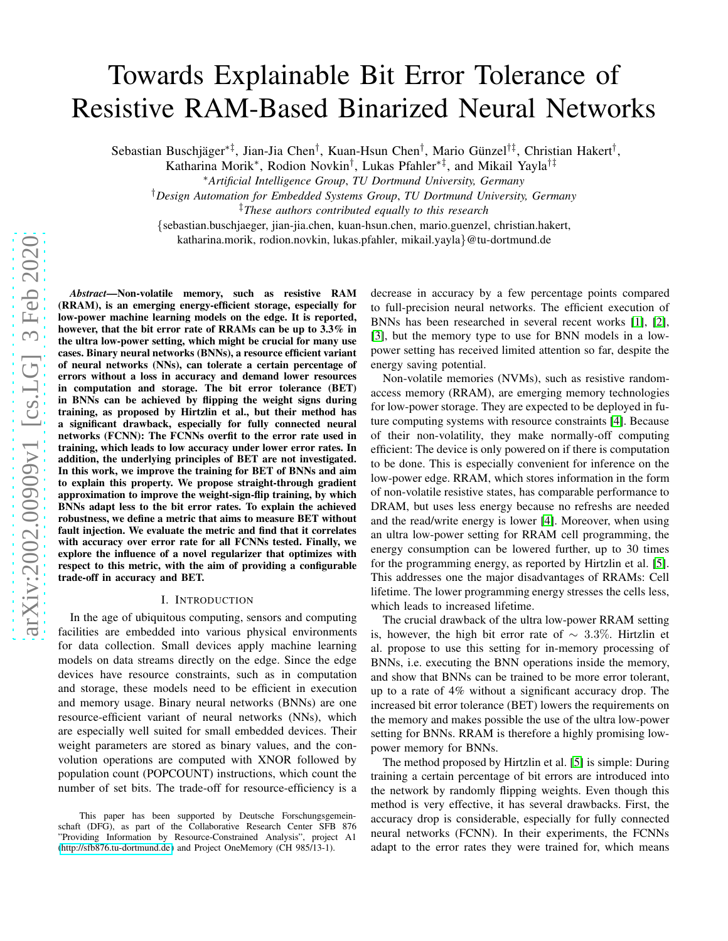# Towards Explainable Bit Error Tolerance of Resistive RAM-Based Binarized Neural Networks

Sebastian Buschjäger<sup>∗‡</sup>, Jian-Jia Chen<sup>†</sup>, Kuan-Hsun Chen<sup>†</sup>, Mario Günzel<sup>†‡</sup>, Christian Hakert<sup>†</sup>,

Katharina Morik<sup>∗</sup> , Rodion Novkin† , Lukas Pfahler∗‡, and Mikail Yayla†‡

<sup>∗</sup>*Artificial Intelligence Group*, *TU Dortmund University, Germany*

†*Design Automation for Embedded Systems Group*, *TU Dortmund University, Germany*

‡*These authors contributed equally to this research*

{sebastian.buschjaeger, jian-jia.chen, kuan-hsun.chen, mario.guenzel, christian.hakert,

katharina.morik, rodion.novkin, lukas.pfahler, mikail.yayla}@tu-dortmund.de

*Abstract*—Non-volatile memory, such as resistive RAM (RRAM), is an emerging energy-efficient storage, especially for low-power machine learning models on the edge. It is reported, however, that the bit error rate of RRAMs can be up to 3.3% in the ultra low-power setting, which might be crucial for many use cases. Binary neural networks (BNNs), a resource efficient variant of neural networks (NNs), can tolerate a certain percentage of errors without a loss in accuracy and demand lower resources in computation and storage. The bit error tolerance (BET) in BNNs can be achieved by flipping the weight signs during training, as proposed by Hirtzlin et al., but their method has a significant drawback, especially for fully connected neural networks (FCNN): The FCNNs overfit to the error rate used in training, which leads to low accuracy under lower error rates. In addition, the underlying principles of BET are not investigated. In this work, we improve the training for BET of BNNs and aim to explain this property. We propose straight-through gradient approximation to improve the weight-sign-flip training, by which BNNs adapt less to the bit error rates. To explain the achieved robustness, we define a metric that aims to measure BET without fault injection. We evaluate the metric and find that it correlates with accuracy over error rate for all FCNNs tested. Finally, we explore the influence of a novel regularizer that optimizes with respect to this metric, with the aim of providing a configurable trade-off in accuracy and BET.

#### I. INTRODUCTION

In the age of ubiquitous computing, sensors and computing facilities are embedded into various physical environments for data collection. Small devices apply machine learning models on data streams directly on the edge. Since the edge devices have resource constraints, such as in computation and storage, these models need to be efficient in execution and memory usage. Binary neural networks (BNNs) are one resource-efficient variant of neural networks (NNs), which are especially well suited for small embedded devices. Their weight parameters are stored as binary values, and the convolution operations are computed with XNOR followed by population count (POPCOUNT) instructions, which count the number of set bits. The trade-off for resource-efficiency is a

decrease in accuracy by a few percentage points compared to full-precision neural networks. The efficient execution of BNNs has been researched in several recent works [1], [2], [\[3\]](#page-5-0), but the memory type to use for BNN models in a lowpower setting has received limited attention so far, despite the energy saving potential.

Non-volatile memories (NVMs), such as resistive randomaccess memory (RRAM), are emerging memory technologies for low-power storage. They are expected to be deployed in future computing systems with resource constraints [4]. Because of their non-volatility, they make normally-off computing efficient: The device is only powered on if there is computation to be done. This is especially convenient for inference on the low-power edge. RRAM, which stores information in the form of non-volatile resistive states, has comparable performance to DRAM, but uses less energy because no refreshs are needed and the read/write energy is lower [4]. Moreover, when using an ultra low-power setting for RRAM cell programming, the energy consumption can be lowered further, up to 30 times for the programming energy, as reported by Hirtzlin et al. [5]. This addresses one the major disadvantages of RRAMs: Cell lifetime. The lower programming energy stresses the cells less, which leads to increased lifetime.

The crucial drawback of the ultra low-power RRAM setting is, however, the high bit error rate of ∼ 3.3%. Hirtzlin et al. propose to use this setting for in-memory processing of BNNs, i.e. executing the BNN operations inside the memory, and show that BNNs can be trained to be more error tolerant, up to a rate of 4% without a significant accuracy drop. The increased bit error tolerance (BET) lowers the requirements on the memory and makes possible the use of the ultra low-power setting for BNNs. RRAM is therefore a highly promising lowpower memory for BNNs.

The method proposed by Hirtzlin et al. [5] is simple: During training a certain percentage of bit errors are introduced into the network by randomly flipping weights. Even though this method is very effective, it has several drawbacks. First, the accuracy drop is considerable, especially for fully connected neural networks (FCNN). In their experiments, the FCNNs adapt to the error rates they were trained for, which means

This paper has been supported by Deutsche Forschungsgemeinschaft (DFG), as part of the Collaborative Research Center SFB 876 "Providing Information by Resource-Constrained Analysis", project A1 [\(http://sfb876.tu-dortmund.de\)](http://sfb876.tu-dortmund.de) and Project OneMemory (CH 985/13-1).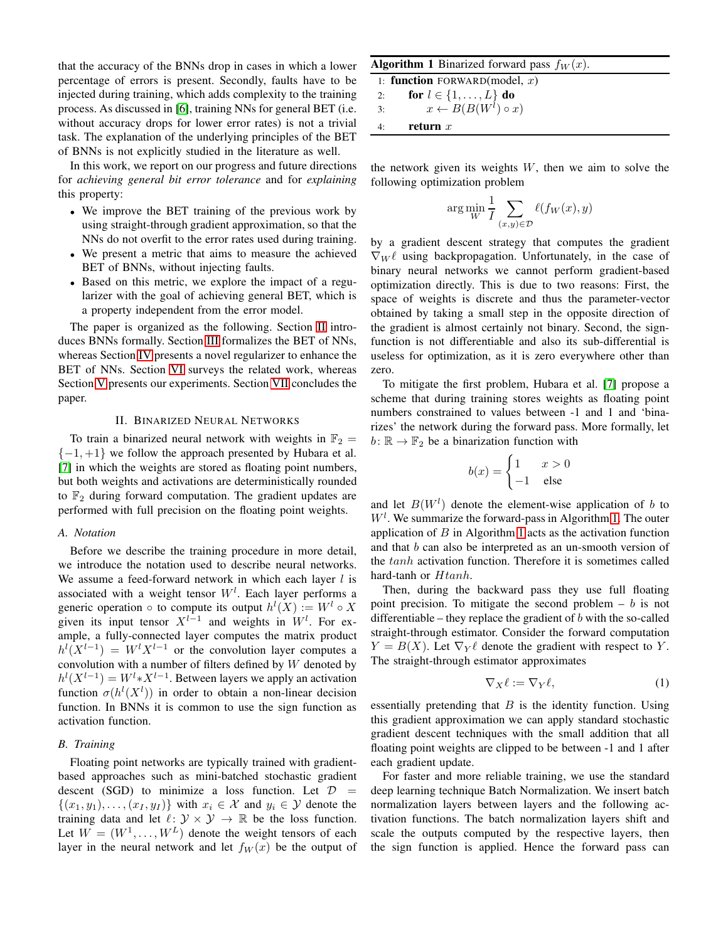that the accuracy of the BNNs drop in cases in which a lower percentage of errors is present. Secondly, faults have to be injected during training, which adds complexity to the training process. As discussed in [\[6\]](#page-5-1), training NNs for general BET (i.e. without accuracy drops for lower error rates) is not a trivial task. The explanation of the underlying principles of the BET of BNNs is not explicitly studied in the literature as well.

In this work, we report on our progress and future directions for *achieving general bit error tolerance* and for *explaining* this property:

- We improve the BET training of the previous work by using straight-through gradient approximation, so that the NNs do not overfit to the error rates used during training.
- We present a metric that aims to measure the achieved BET of BNNs, without injecting faults.
- Based on this metric, we explore the impact of a regularizer with the goal of achieving general BET, which is a property independent from the error model.

The paper is organized as the following. Section [II](#page-1-0) introduces BNNs formally. Section [III](#page-2-0) formalizes the BET of NNs, whereas Section [IV](#page-2-1) presents a novel regularizer to enhance the BET of NNs. Section [VI](#page-3-0) surveys the related work, whereas Section [V](#page-3-1) presents our experiments. Section [VII](#page-5-2) concludes the paper.

#### II. BINARIZED NEURAL NETWORKS

<span id="page-1-0"></span>To train a binarized neural network with weights in  $\mathbb{F}_2 =$  $\{-1, +1\}$  we follow the approach presented by Hubara et al. [7] in which the weights are stored as floating point numbers, but both weights and activations are deterministically rounded to  $\mathbb{F}_2$  during forward computation. The gradient updates are performed with full precision on the floating point weights.

#### *A. Notation*

Before we describe the training procedure in more detail, we introduce the notation used to describe neural networks. We assume a feed-forward network in which each layer  $l$  is associated with a weight tensor  $W<sup>l</sup>$ . Each layer performs a generic operation  $\circ$  to compute its output  $h^{l}(X) := W^{l} \circ X$ given its input tensor  $X^{l-1}$  and weights in  $W^l$ . For example, a fully-connected layer computes the matrix product  $h^{l}(X^{l-1}) = W^{l}X^{l-1}$  or the convolution layer computes a convolution with a number of filters defined by  $W$  denoted by  $h^{l}(X^{l-1}) = W^{l} * X^{l-1}$ . Between layers we apply an activation function  $\sigma(h^l(X^l))$  in order to obtain a non-linear decision function. In BNNs it is common to use the sign function as activation function.

# *B. Training*

Floating point networks are typically trained with gradientbased approaches such as mini-batched stochastic gradient descent (SGD) to minimize a loss function. Let  $D =$  $\{(x_1, y_1), \ldots, (x_I, y_I)\}\$  with  $x_i \in \mathcal{X}$  and  $y_i \in \mathcal{Y}$  denote the training data and let  $\ell: \mathcal{Y} \times \mathcal{Y} \rightarrow \mathbb{R}$  be the loss function. Let  $W = (W^1, \dots, W^L)$  denote the weight tensors of each layer in the neural network and let  $f_W(x)$  be the output of

<span id="page-1-1"></span>**Algorithm 1** Binarized forward pass  $f_W(x)$ .

1: function FORWARD(model,  $x$ ) 2: **for**  $l \in \{1, ..., L\}$  **do** 3:  $x \leftarrow B(B(W^l) \circ x)$ 4: return  $x$ 

the network given its weights  $W$ , then we aim to solve the following optimization problem

$$
\arg\min_{W} \frac{1}{I} \sum_{(x,y)\in\mathcal{D}} \ell(f_W(x), y)
$$

by a gradient descent strategy that computes the gradient  $\nabla_W \ell$  using backpropagation. Unfortunately, in the case of binary neural networks we cannot perform gradient-based optimization directly. This is due to two reasons: First, the space of weights is discrete and thus the parameter-vector obtained by taking a small step in the opposite direction of the gradient is almost certainly not binary. Second, the signfunction is not differentiable and also its sub-differential is useless for optimization, as it is zero everywhere other than zero.

To mitigate the first problem, Hubara et al. [7] propose a scheme that during training stores weights as floating point numbers constrained to values between -1 and 1 and 'binarizes' the network during the forward pass. More formally, let  $b: \mathbb{R} \to \mathbb{F}_2$  be a binarization function with

$$
b(x) = \begin{cases} 1 & x > 0 \\ -1 & \text{else} \end{cases}
$$

and let  $B(W^l)$  denote the element-wise application of b to  $W<sup>l</sup>$ . We summarize the forward-pass in Algorithm [1.](#page-1-1) The outer application of  $B$  in Algorithm [1](#page-1-1) acts as the activation function and that b can also be interpreted as an un-smooth version of the tanh activation function. Therefore it is sometimes called hard-tanh or Htanh.

Then, during the backward pass they use full floating point precision. To mitigate the second problem  $- b$  is not differentiable – they replace the gradient of  $b$  with the so-called straight-through estimator. Consider the forward computation  $Y = B(X)$ . Let  $\nabla_Y \ell$  denote the gradient with respect to Y. The straight-through estimator approximates

<span id="page-1-2"></span>
$$
\nabla_X \ell := \nabla_Y \ell,\tag{1}
$$

essentially pretending that  $B$  is the identity function. Using this gradient approximation we can apply standard stochastic gradient descent techniques with the small addition that all floating point weights are clipped to be between -1 and 1 after each gradient update.

For faster and more reliable training, we use the standard deep learning technique Batch Normalization. We insert batch normalization layers between layers and the following activation functions. The batch normalization layers shift and scale the outputs computed by the respective layers, then the sign function is applied. Hence the forward pass can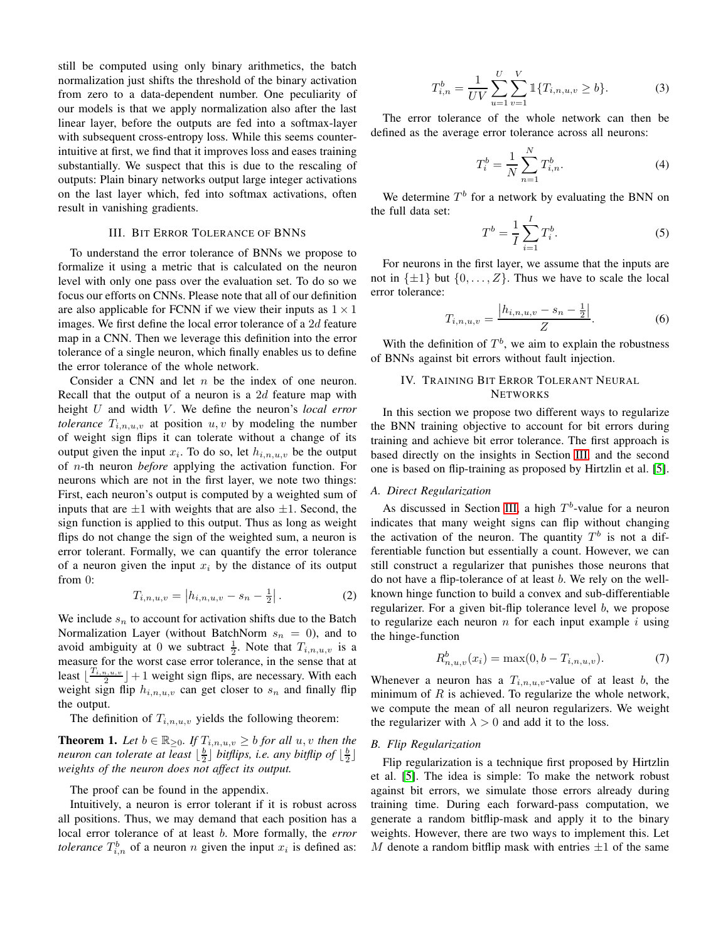still be computed using only binary arithmetics, the batch normalization just shifts the threshold of the binary activation from zero to a data-dependent number. One peculiarity of our models is that we apply normalization also after the last linear layer, before the outputs are fed into a softmax-layer with subsequent cross-entropy loss. While this seems counterintuitive at first, we find that it improves loss and eases training substantially. We suspect that this is due to the rescaling of outputs: Plain binary networks output large integer activations on the last layer which, fed into softmax activations, often result in vanishing gradients.

## III. BIT ERROR TOLERANCE OF BNNS

<span id="page-2-0"></span>To understand the error tolerance of BNNs we propose to formalize it using a metric that is calculated on the neuron level with only one pass over the evaluation set. To do so we focus our efforts on CNNs. Please note that all of our definition are also applicable for FCNN if we view their inputs as  $1 \times 1$ images. We first define the local error tolerance of a 2d feature map in a CNN. Then we leverage this definition into the error tolerance of a single neuron, which finally enables us to define the error tolerance of the whole network.

Consider a CNN and let  $n$  be the index of one neuron. Recall that the output of a neuron is a 2d feature map with height U and width V. We define the neuron's *local error tolerance*  $T_{i,n,u,v}$  at position  $u, v$  by modeling the number of weight sign flips it can tolerate without a change of its output given the input  $x_i$ . To do so, let  $h_{i,n,u,v}$  be the output of n-th neuron *before* applying the activation function. For neurons which are not in the first layer, we note two things: First, each neuron's output is computed by a weighted sum of inputs that are  $\pm 1$  with weights that are also  $\pm 1$ . Second, the sign function is applied to this output. Thus as long as weight flips do not change the sign of the weighted sum, a neuron is error tolerant. Formally, we can quantify the error tolerance of a neuron given the input  $x_i$  by the distance of its output from 0:

<span id="page-2-4"></span>
$$
T_{i,n,u,v} = |h_{i,n,u,v} - s_n - \frac{1}{2}|.
$$
 (2)

We include  $s_n$  to account for activation shifts due to the Batch Normalization Layer (without BatchNorm  $s_n = 0$ ), and to avoid ambiguity at 0 we subtract  $\frac{1}{2}$ . Note that  $T_{i,n,u,v}$  is a measure for the worst case error tolerance, in the sense that at least  $\lfloor \frac{T_{i,n,u,v}}{2}$  $\lfloor \frac{n_1u_1v_2}{2} \rfloor + 1$  weight sign flips, are necessary. With each weight sign flip  $h_{i,n,u,v}$  can get closer to  $s_n$  and finally flip the output.

The definition of  $T_{i,n,u,v}$  yields the following theorem:

<span id="page-2-3"></span>**Theorem 1.** Let  $b \in \mathbb{R}_{\geq 0}$ . If  $T_{i,n,u,v} \geq b$  for all  $u, v$  then the neuron can tolerate at least  $\lfloor \frac{b}{2} \rfloor$  bitflips, i.e. any bitflip of  $\lfloor \frac{b}{2} \rfloor$ *weights of the neuron does not affect its output.*

The proof can be found in the appendix.

Intuitively, a neuron is error tolerant if it is robust across all positions. Thus, we may demand that each position has a local error tolerance of at least b. More formally, the *error tolerance*  $T_{i,n}^b$  of a neuron n given the input  $x_i$  is defined as:

$$
T_{i,n}^b = \frac{1}{UV} \sum_{u=1}^U \sum_{v=1}^V \mathbb{1}\{T_{i,n,u,v} \ge b\}.
$$
 (3)

The error tolerance of the whole network can then be defined as the average error tolerance across all neurons:

$$
T_i^b = \frac{1}{N} \sum_{n=1}^{N} T_{i,n}^b.
$$
 (4)

We determine  $T<sup>b</sup>$  for a network by evaluating the BNN on the full data set:

$$
T^{b} = \frac{1}{I} \sum_{i=1}^{I} T_{i}^{b}.
$$
 (5)

For neurons in the first layer, we assume that the inputs are not in  $\{\pm 1\}$  but  $\{0, \ldots, Z\}$ . Thus we have to scale the local error tolerance:

<span id="page-2-5"></span>
$$
T_{i,n,u,v} = \frac{|h_{i,n,u,v} - s_n - \frac{1}{2}|}{Z}.
$$
 (6)

<span id="page-2-1"></span>With the definition of  $T<sup>b</sup>$ , we aim to explain the robustness of BNNs against bit errors without fault injection.

# IV. TRAINING BIT ERROR TOLERANT NEURAL **NETWORKS**

In this section we propose two different ways to regularize the BNN training objective to account for bit errors during training and achieve bit error tolerance. The first approach is based directly on the insights in Section [III,](#page-2-0) and the second one is based on flip-training as proposed by Hirtzlin et al. [5].

#### <span id="page-2-2"></span>*A. Direct Regularization*

As discussed in Section [III,](#page-2-0) a high  $T<sup>b</sup>$ -value for a neuron indicates that many weight signs can flip without changing the activation of the neuron. The quantity  $T<sup>b</sup>$  is not a differentiable function but essentially a count. However, we can still construct a regularizer that punishes those neurons that do not have a flip-tolerance of at least b. We rely on the wellknown hinge function to build a convex and sub-differentiable regularizer. For a given bit-flip tolerance level b, we propose to regularize each neuron  $n$  for each input example  $i$  using the hinge-function

$$
R_{n,u,v}^b(x_i) = \max(0, b - T_{i,n,u,v}).
$$
\n(7)

Whenever a neuron has a  $T_{i,n,u,v}$ -value of at least b, the minimum of  $R$  is achieved. To regularize the whole network, we compute the mean of all neuron regularizers. We weight the regularizer with  $\lambda > 0$  and add it to the loss.

# *B. Flip Regularization*

Flip regularization is a technique first proposed by Hirtzlin et al. [5]. The idea is simple: To make the network robust against bit errors, we simulate those errors already during training time. During each forward-pass computation, we generate a random bitflip-mask and apply it to the binary weights. However, there are two ways to implement this. Let M denote a random bitflip mask with entries  $\pm 1$  of the same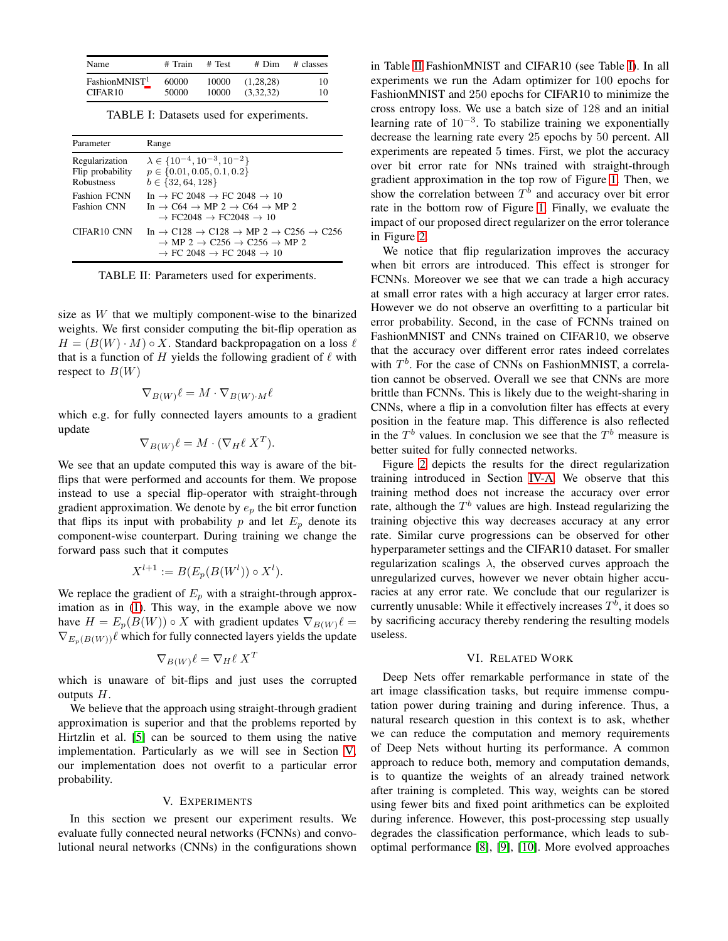<span id="page-3-3"></span>

| Name                      | # Train | # Test | $#$ Dim   | # classes |
|---------------------------|---------|--------|-----------|-----------|
| FashionMNIST <sup>1</sup> | 60000   | 10000  | (1.28.28) | 10        |
| CIFAR10                   | 50000   | 10000  | (3.32.32) | 10        |

TABLE I: Datasets used for experiments.

<span id="page-3-2"></span>

| Parameter                                               | Range                                                                                                                                                                                                                                            |
|---------------------------------------------------------|--------------------------------------------------------------------------------------------------------------------------------------------------------------------------------------------------------------------------------------------------|
| Regularization<br>Flip probability<br><b>Robustness</b> | $\lambda \in \{10^{-4}, 10^{-3}, 10^{-2}\}\$<br>$p \in \{0.01, 0.05, 0.1, 0.2\}$<br>$b \in \{32, 64, 128\}$                                                                                                                                      |
| <b>Fashion FCNN</b><br><b>Fashion CNN</b>               | In $\rightarrow$ FC 2048 $\rightarrow$ FC 2048 $\rightarrow$ 10<br>In $\rightarrow$ C64 $\rightarrow$ MP 2 $\rightarrow$ C64 $\rightarrow$ MP 2<br>$\rightarrow$ FC2048 $\rightarrow$ FC2048 $\rightarrow$ 10                                    |
| CIFAR <sub>10</sub> CNN                                 | In $\rightarrow$ C128 $\rightarrow$ C128 $\rightarrow$ MP 2 $\rightarrow$ C256 $\rightarrow$ C256<br>$\rightarrow$ MP 2 $\rightarrow$ C256 $\rightarrow$ C256 $\rightarrow$ MP 2<br>$\rightarrow$ FC 2048 $\rightarrow$ FC 2048 $\rightarrow$ 10 |

TABLE II: Parameters used for experiments.

size as W that we multiply component-wise to the binarized weights. We first consider computing the bit-flip operation as  $H = (B(W) \cdot M) \circ X$ . Standard backpropagation on a loss  $\ell$ that is a function of H yields the following gradient of  $\ell$  with respect to  $B(W)$ 

$$
\nabla_{B(W)} \ell = M \cdot \nabla_{B(W) \cdot M} \ell
$$

which e.g. for fully connected layers amounts to a gradient update

$$
\nabla_{B(W)} \ell = M \cdot (\nabla_H \ell \; X^T).
$$

We see that an update computed this way is aware of the bitflips that were performed and accounts for them. We propose instead to use a special flip-operator with straight-through gradient approximation. We denote by  $e_p$  the bit error function that flips its input with probability  $p$  and let  $E_p$  denote its component-wise counterpart. During training we change the forward pass such that it computes

$$
X^{l+1} := B(E_p(B(W^l)) \circ X^l).
$$

We replace the gradient of  $E_p$  with a straight-through approximation as in [\(1\)](#page-1-2). This way, in the example above we now have  $H = E_p(B(W)) \circ X$  with gradient updates  $\nabla_{B(W)} \ell =$  $\nabla_{E_p(B(W))}\ell$  which for fully connected layers yields the update

$$
\nabla_{B(W)} \ell = \nabla_H \ell \; X^T
$$

which is unaware of bit-flips and just uses the corrupted outputs  $H$ .

We believe that the approach using straight-through gradient approximation is superior and that the problems reported by Hirtzlin et al. [5] can be sourced to them using the native implementation. Particularly as we will see in Section [V,](#page-3-1) our implementation does not overfit to a particular error probability.

#### V. EXPERIMENTS

<span id="page-3-1"></span>In this section we present our experiment results. We evaluate fully connected neural networks (FCNNs) and convolutional neural networks (CNNs) in the configurations shown in Table [II](#page-3-2) FashionMNIST and CIFAR10 (see Table [I\)](#page-3-3). In all experiments we run the Adam optimizer for 100 epochs for FashionMNIST and 250 epochs for CIFAR10 to minimize the cross entropy loss. We use a batch size of 128 and an initial learning rate of 10<sup>-3</sup>. To stabilize training we exponentially decrease the learning rate every 25 epochs by 50 percent. All experiments are repeated 5 times. First, we plot the accuracy over bit error rate for NNs trained with straight-through gradient approximation in the top row of Figure [1.](#page-4-0) Then, we show the correlation between  $T<sup>b</sup>$  and accuracy over bit error rate in the bottom row of Figure [1.](#page-4-0) Finally, we evaluate the impact of our proposed direct regularizer on the error tolerance in Figure [2.](#page-4-1)

We notice that flip regularization improves the accuracy when bit errors are introduced. This effect is stronger for FCNNs. Moreover we see that we can trade a high accuracy at small error rates with a high accuracy at larger error rates. However we do not observe an overfitting to a particular bit error probability. Second, in the case of FCNNs trained on FashionMNIST and CNNs trained on CIFAR10, we observe that the accuracy over different error rates indeed correlates with  $T<sup>b</sup>$ . For the case of CNNs on FashionMNIST, a correlation cannot be observed. Overall we see that CNNs are more brittle than FCNNs. This is likely due to the weight-sharing in CNNs, where a flip in a convolution filter has effects at every position in the feature map. This difference is also reflected in the  $T<sup>b</sup>$  values. In conclusion we see that the  $T<sup>b</sup>$  measure is better suited for fully connected networks.

Figure [2](#page-4-1) depicts the results for the direct regularization training introduced in Section [IV-A.](#page-2-2) We observe that this training method does not increase the accuracy over error rate, although the  $T<sup>b</sup>$  values are high. Instead regularizing the training objective this way decreases accuracy at any error rate. Similar curve progressions can be observed for other hyperparameter settings and the CIFAR10 dataset. For smaller regularization scalings  $\lambda$ , the observed curves approach the unregularized curves, however we never obtain higher accuracies at any error rate. We conclude that our regularizer is currently unusable: While it effectively increases  $T<sup>b</sup>$ , it does so by sacrificing accuracy thereby rendering the resulting models useless.

#### VI. RELATED WORK

<span id="page-3-0"></span>Deep Nets offer remarkable performance in state of the art image classification tasks, but require immense computation power during training and during inference. Thus, a natural research question in this context is to ask, whether we can reduce the computation and memory requirements of Deep Nets without hurting its performance. A common approach to reduce both, memory and computation demands, is to quantize the weights of an already trained network after training is completed. This way, weights can be stored using fewer bits and fixed point arithmetics can be exploited during inference. However, this post-processing step usually degrades the classification performance, which leads to suboptimal performance [8], [9], [10]. More evolved approaches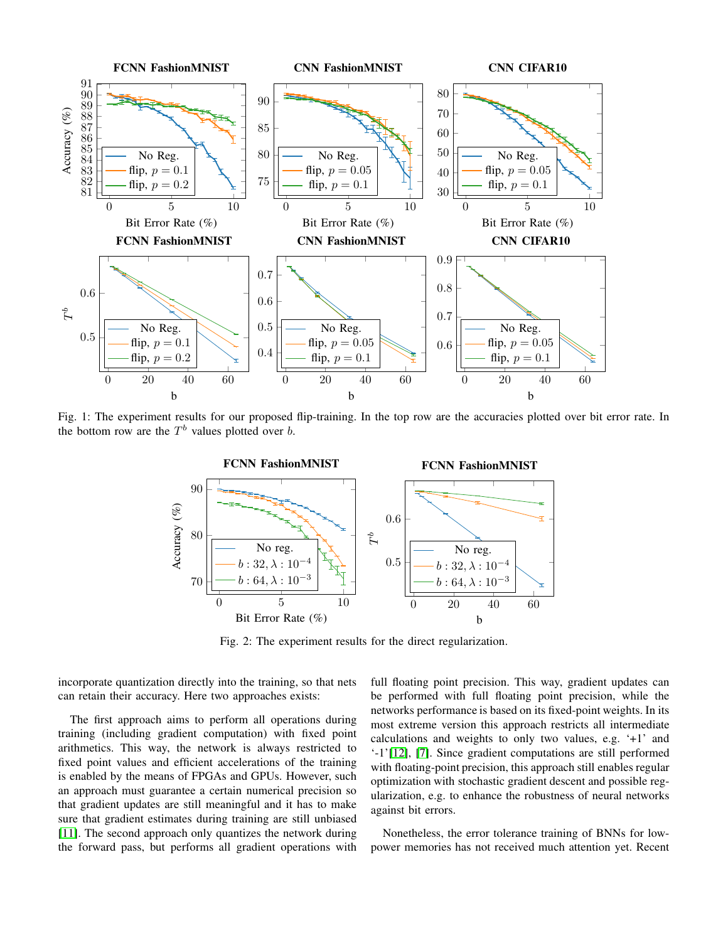<span id="page-4-0"></span>

<span id="page-4-1"></span>Fig. 1: The experiment results for our proposed flip-training. In the top row are the accuracies plotted over bit error rate. In the bottom row are the  $T<sup>b</sup>$  values plotted over b.



Fig. 2: The experiment results for the direct regularization.

incorporate quantization directly into the training, so that nets can retain their accuracy. Here two approaches exists:

The first approach aims to perform all operations during training (including gradient computation) with fixed point arithmetics. This way, the network is always restricted to fixed point values and efficient accelerations of the training is enabled by the means of FPGAs and GPUs. However, such an approach must guarantee a certain numerical precision so that gradient updates are still meaningful and it has to make sure that gradient estimates during training are still unbiased [11]. The second approach only quantizes the network during the forward pass, but performs all gradient operations with full floating point precision. This way, gradient updates can be performed with full floating point precision, while the networks performance is based on its fixed-point weights. In its most extreme version this approach restricts all intermediate calculations and weights to only two values, e.g. '+1' and '-1'[12], [7]. Since gradient computations are still performed with floating-point precision, this approach still enables regular optimization with stochastic gradient descent and possible regularization, e.g. to enhance the robustness of neural networks against bit errors.

Nonetheless, the error tolerance training of BNNs for lowpower memories has not received much attention yet. Recent